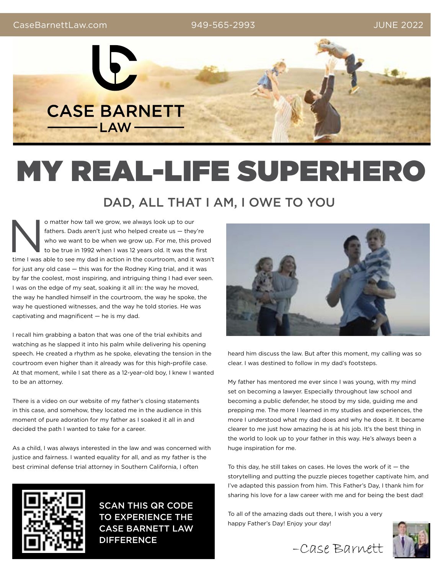949-565-2993



# MY REAL-LIFE SUPERHERO

## DAD, ALL THAT I AM, I OWE TO YOU

o matter how tall we grow, we always look up to our<br>
fathers. Dads aren't just who helped create us — they're<br>
who we want to be when we grow up. For me, this proved<br>
to be true in 1992 when I was 12 years old. It was the fathers. Dads aren't just who helped create us — they're who we want to be when we grow up. For me, this proved to be true in 1992 when I was 12 years old. It was the first for just any old case — this was for the Rodney King trial, and it was by far the coolest, most inspiring, and intriguing thing I had ever seen. I was on the edge of my seat, soaking it all in: the way he moved, the way he handled himself in the courtroom, the way he spoke, the way he questioned witnesses, and the way he told stories. He was captivating and magnificent — he is my dad.

I recall him grabbing a baton that was one of the trial exhibits and watching as he slapped it into his palm while delivering his opening speech. He created a rhythm as he spoke, elevating the tension in the courtroom even higher than it already was for this high-profile case. At that moment, while I sat there as a 12-year-old boy, I knew I wanted to be an attorney.

There is a video on our website of my father's closing statements in this case, and somehow, they located me in the audience in this moment of pure adoration for my father as I soaked it all in and decided the path I wanted to take for a career.

As a child, I was always interested in the law and was concerned with justice and fairness. I wanted equality for all, and as my father is the best criminal defense trial attorney in Southern California, I often



SCAN THIS QR CODE TO EXPERIENCE THE CASE BARNETT LAW DIFFERENCE



heard him discuss the law. But after this moment, my calling was so clear. I was destined to follow in my dad's footsteps.

My father has mentored me ever since I was young, with my mind set on becoming a lawyer. Especially throughout law school and becoming a public defender, he stood by my side, guiding me and prepping me. The more I learned in my studies and experiences, the more I understood what my dad does and why he does it. It became clearer to me just how amazing he is at his job. It's the best thing in the world to look up to your father in this way. He's always been a huge inspiration for me.

To this day, he still takes on cases. He loves the work of it  $-$  the storytelling and putting the puzzle pieces together captivate him, and I've adapted this passion from him. This Father's Day, I thank him for sharing his love for a law career with me and for being the best dad!

To all of the amazing dads out there, I wish you a very happy Father's Day! Enjoy your day!



–Case Barnett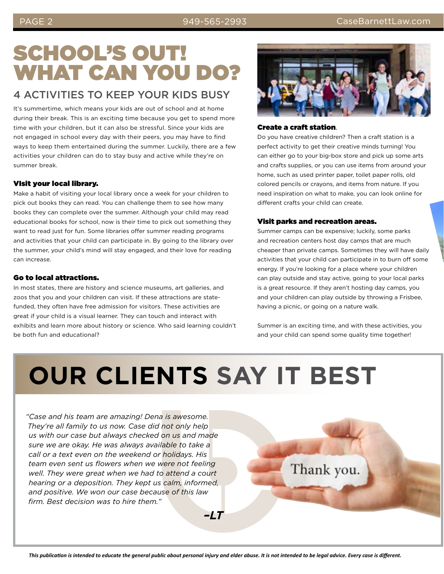## SCHOOL'S OUT! WHAT CAN YOU DO?

### 4 ACTIVITIES TO KEEP YOUR KIDS BUSY

It's summertime, which means your kids are out of school and at home during their break. This is an exciting time because you get to spend more time with your children, but it can also be stressful. Since your kids are not engaged in school every day with their peers, you may have to find ways to keep them entertained during the summer. Luckily, there are a few activities your children can do to stay busy and active while they're on summer break.

#### VIsit your local library.

Make a habit of visiting your local library once a week for your children to pick out books they can read. You can challenge them to see how many books they can complete over the summer. Although your child may read educational books for school, now is their time to pick out something they want to read just for fun. Some libraries offer summer reading programs and activities that your child can participate in. By going to the library over the summer, your child's mind will stay engaged, and their love for reading can increase.

#### Go to local attractions.

In most states, there are history and science museums, art galleries, and zoos that you and your children can visit. If these attractions are statefunded, they often have free admission for visitors. These activities are great if your child is a visual learner. They can touch and interact with exhibits and learn more about history or science. Who said learning couldn't be both fun and educational?



#### Create a craft station.

Do you have creative children? Then a craft station is a perfect activity to get their creative minds turning! You can either go to your big-box store and pick up some arts and crafts supplies, or you can use items from around your home, such as used printer paper, toilet paper rolls, old colored pencils or crayons, and items from nature. If you need inspiration on what to make, you can look online for different crafts your child can create.

#### Visit parks and recreation areas.

Summer camps can be expensive; luckily, some parks and recreation centers host day camps that are much cheaper than private camps. Sometimes they will have daily activities that your child can participate in to burn off some energy. If you're looking for a place where your children can play outside and stay active, going to your local parks is a great resource. If they aren't hosting day camps, you and your children can play outside by throwing a Frisbee, having a picnic, or going on a nature walk.

Summer is an exciting time, and with these activities, you and your child can spend some quality time together!

## **OUR CLIENTS SAY IT BEST**

*"Case and his team are amazing! Dena is awesome. They're all family to us now. Case did not only help us with our case but always checked on us and made sure we are okay. He was always available to take a call or a text even on the weekend or holidays. His team even sent us flowers when we were not feeling well. They were great when we had to attend a court hearing or a deposition. They kept us calm, informed, and positive. We won our case because of this law firm. Best decision was to hire them."*

*–LT*

Thank you.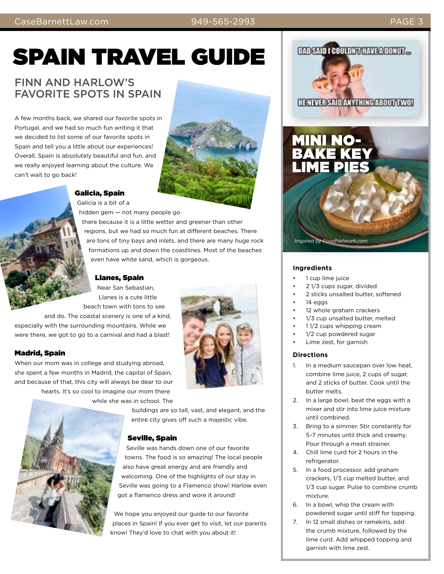### CaseBarnettLaw.com PAGE 3

#### 949-565-2993

## SPAIN TRAVEL GUIDE

### FINN AND HARLOW'S FAVORITE SPOTS IN SPAIN

A few months back, we shared our favorite spots in Portugal, and we had so much fun writing it that we decided to list some of our favorite spots in Spain and tell you a little about our experiences! Overall, Spain is absolutely beautiful and fun, and we really enjoyed learning about the culture. We can't wait to go back!



Galicia, Spain Galicia is a bit of a

hidden gem — not many people go

there because it is a little wetter and greener than other regions, but we had so much fun at different beaches. There are tons of tiny bays and inlets, and there are many huge rock formations up and down the coastlines. Most of the beaches even have white sand, which is gorgeous.

#### Llanes, Spain

Near San Sebastian, Llanes is a cute little beach town with tons to see

and do. The coastal scenery is one of a kind, especially with the surrounding mountains. While we were there, we got to go to a carnival and had a blast!

#### Madrid, Spain

When our mom was in college and studying abroad, she spent a few months in Madrid, the capital of Spain, and because of that, this city will always be dear to our hearts. It's so cool to imagine our mom there while she was in school. The



buildings are so tall, vast, and elegant, and the entire city gives off such a majestic vibe.

#### Seville, Spain

Seville was hands down one of our favorite towns. The food is so amazing! The local people also have great energy and are friendly and welcoming. One of the highlights of our stay in Seville was going to a Flamenco show! Harlow even got a flamenco dress and wore it around!

We hope you enjoyed our guide to our favorite places in Spain! If you ever get to visit, let our parents know! They'd love to chat with you about it!





**HENEVER SAID ANYTHING ABOUT TWO!** 

## MINI NO- $B$ AKE KE LIME PIES

#### **Ingredients**

- 1 cup lime juice
- 2 1/3 cups sugar, divided

*Inspired by FoodNetwork.com*

- 2 sticks unsalted butter, softened
- 14 eggs
- 12 whole graham crackers
- 1/3 cup unsalted butter, melted
- 1 1/2 cups whipping cream
- 1/2 cup powdered sugar
- Lime zest, for garnish

#### **Directions**

- 1. In a medium saucepan over low heat, combine lime juice, 2 cups of sugar, and 2 sticks of butter. Cook until the butter melts.
- 2. In a large bowl, beat the eggs with a mixer and stir into lime juice mixture until combined.
- 3. Bring to a simmer. Stir constantly for 5–7 minutes until thick and creamy. Pour through a mesh strainer.
- 4. Chill lime curd for 2 hours in the refrigerator.
- 5. In a food processor, add graham crackers, 1/3 cup melted butter, and 1/3 cup sugar. Pulse to combine crumb mixture.
- 6. In a bowl, whip the cream with powdered sugar until stiff for topping.
- 7. In 12 small dishes or ramekins, add the crumb mixture, followed by the lime curd. Add whipped topping and garnish with lime zest.